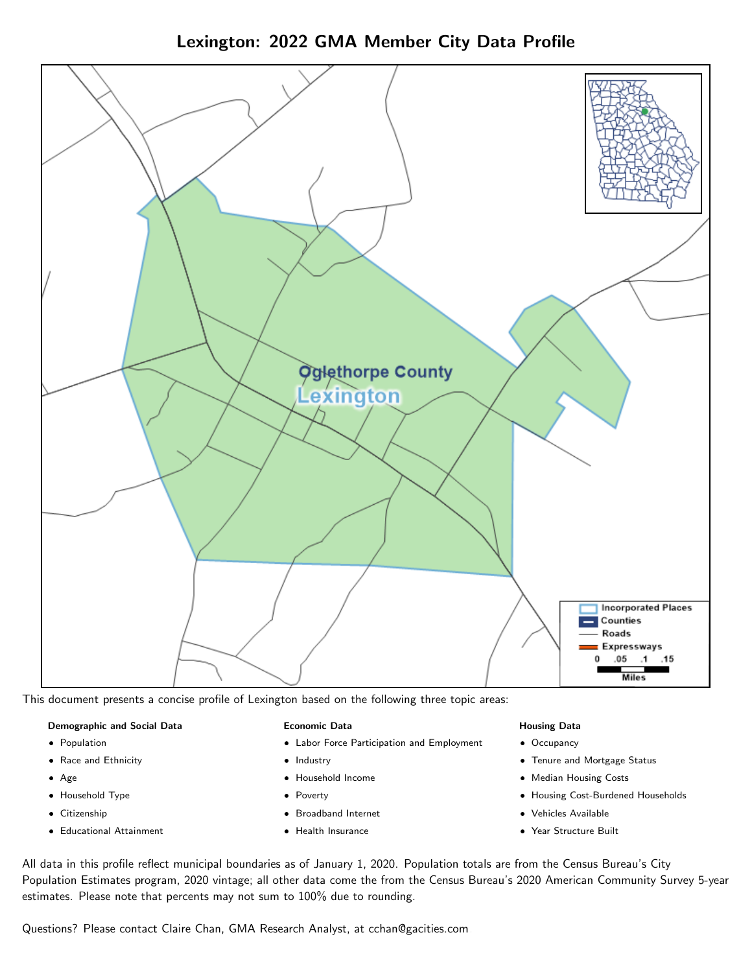Lexington: 2022 GMA Member City Data Profile



This document presents a concise profile of Lexington based on the following three topic areas:

#### Demographic and Social Data

- **•** Population
- Race and Ethnicity
- Age
- Household Type
- **Citizenship**
- Educational Attainment

#### Economic Data

- Labor Force Participation and Employment
- Industry
- Household Income
- Poverty
- Broadband Internet
- Health Insurance

## Housing Data

- Occupancy
- Tenure and Mortgage Status
- Median Housing Costs
- Housing Cost-Burdened Households
- Vehicles Available
- Year Structure Built

All data in this profile reflect municipal boundaries as of January 1, 2020. Population totals are from the Census Bureau's City Population Estimates program, 2020 vintage; all other data come the from the Census Bureau's 2020 American Community Survey 5-year estimates. Please note that percents may not sum to 100% due to rounding.

Questions? Please contact Claire Chan, GMA Research Analyst, at [cchan@gacities.com.](mailto:cchan@gacities.com)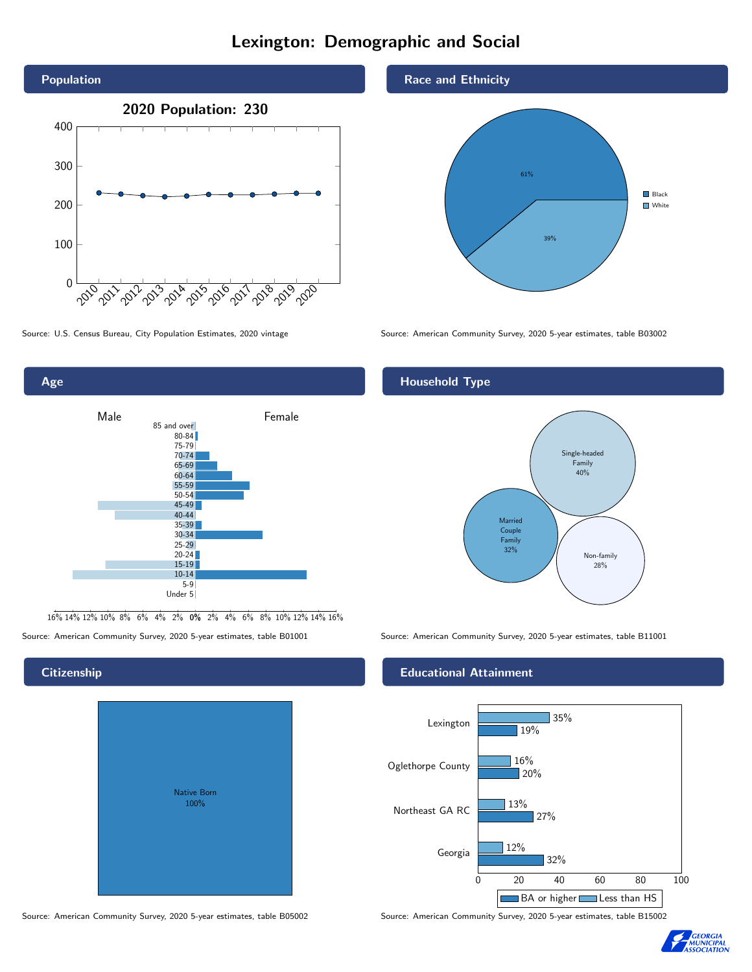# Lexington: Demographic and Social





16% 14% 12% 10% 8% 6% 4% 2% 0% 2% 4% 6% 8% 10% 12% 14% 16%

Source: American Community Survey, 2020 5-year estimates, table B01001 Source: American Community Survey, 2020 5-year estimates, table B11001

**Citizenship** 

# Native Born 100%

#### Race and Ethnicity



Source: U.S. Census Bureau, City Population Estimates, 2020 vintage Source: American Community Survey, 2020 5-year estimates, table B03002

# Household Type



## Educational Attainment



Source: American Community Survey, 2020 5-year estimates, table B05002 Source: American Community Survey, 2020 5-year estimates, table B15002

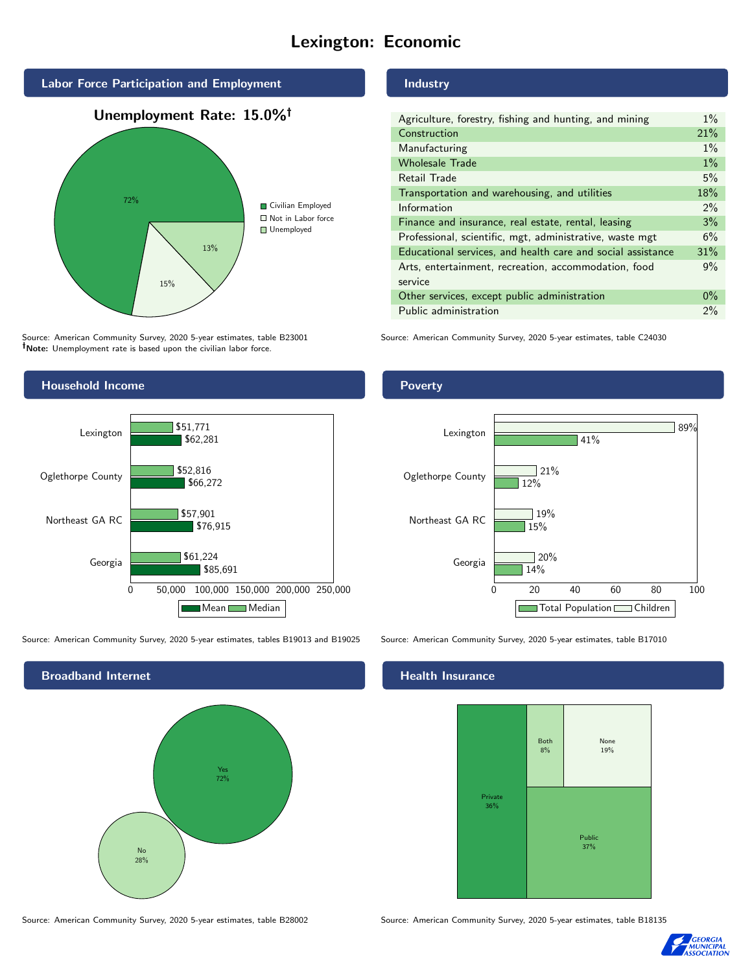# Lexington: Economic



Source: American Community Survey, 2020 5-year estimates, table B23001 Note: Unemployment rate is based upon the civilian labor force.



Source: American Community Survey, 2020 5-year estimates, tables B19013 and B19025 Source: American Community Survey, 2020 5-year estimates, table B17010



#### Source: American Community Survey, 2020 5-year estimates, table B28002 Source: American Community Survey, 2020 5-year estimates, table B18135

Industry

| Agriculture, forestry, fishing and hunting, and mining      | $1\%$ |
|-------------------------------------------------------------|-------|
| Construction                                                | 21%   |
| Manufacturing                                               | $1\%$ |
| <b>Wholesale Trade</b>                                      | $1\%$ |
| Retail Trade                                                | 5%    |
| Transportation and warehousing, and utilities               | 18%   |
| Information                                                 | $2\%$ |
| Finance and insurance, real estate, rental, leasing         | 3%    |
| Professional, scientific, mgt, administrative, waste mgt    | 6%    |
| Educational services, and health care and social assistance | 31%   |
| Arts, entertainment, recreation, accommodation, food        | 9%    |
| service                                                     |       |
| Other services, except public administration                | $0\%$ |
| Public administration                                       | 2%    |

Source: American Community Survey, 2020 5-year estimates, table C24030

## Poverty



#### Health Insurance